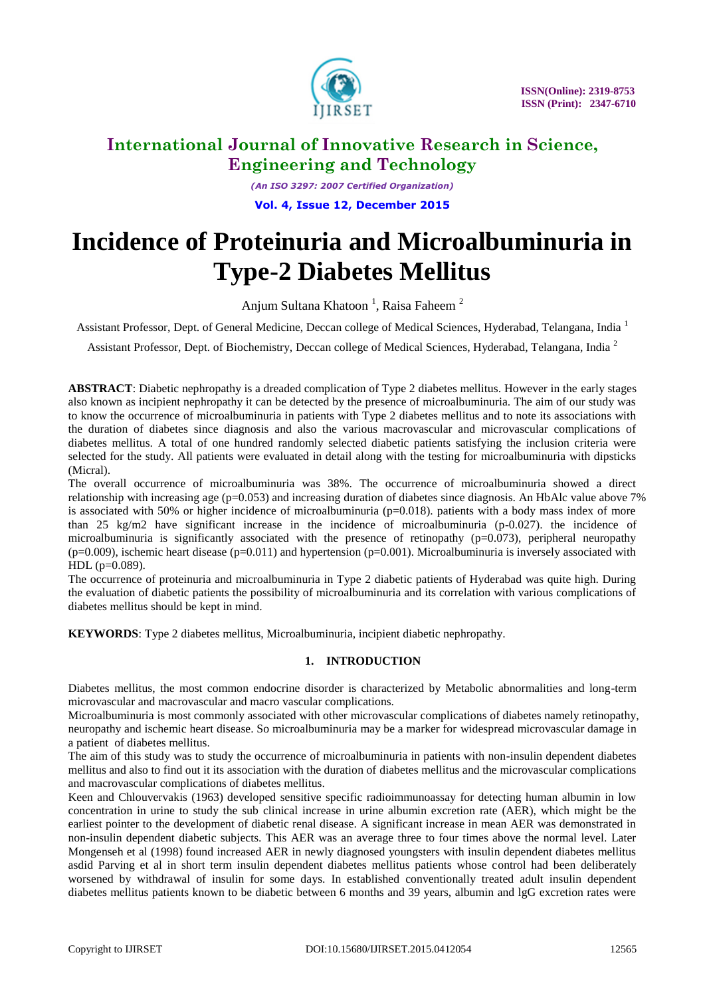

*(An ISO 3297: 2007 Certified Organization)* **Vol. 4, Issue 12, December 2015**

# **Incidence of Proteinuria and Microalbuminuria in Type-2 Diabetes Mellitus**

Anjum Sultana Khatoon<sup>1</sup>, Raisa Faheem<sup>2</sup>

Assistant Professor, Dept. of General Medicine, Deccan college of Medical Sciences, Hyderabad, Telangana, India <sup>1</sup>

Assistant Professor, Dept. of Biochemistry, Deccan college of Medical Sciences, Hyderabad, Telangana, India<sup>2</sup>

**ABSTRACT**: Diabetic nephropathy is a dreaded complication of Type 2 diabetes mellitus. However in the early stages also known as incipient nephropathy it can be detected by the presence of microalbuminuria. The aim of our study was to know the occurrence of microalbuminuria in patients with Type 2 diabetes mellitus and to note its associations with the duration of diabetes since diagnosis and also the various macrovascular and microvascular complications of diabetes mellitus. A total of one hundred randomly selected diabetic patients satisfying the inclusion criteria were selected for the study. All patients were evaluated in detail along with the testing for microalbuminuria with dipsticks (Micral).

The overall occurrence of microalbuminuria was 38%. The occurrence of microalbuminuria showed a direct relationship with increasing age ( $p=0.053$ ) and increasing duration of diabetes since diagnosis. An HbAlc value above 7% is associated with 50% or higher incidence of microalbuminuria  $(p=0.018)$ . patients with a body mass index of more than 25 kg/m2 have significant increase in the incidence of microalbuminuria (p-0.027). the incidence of microalbuminuria is significantly associated with the presence of retinopathy  $(p=0.073)$ , peripheral neuropathy  $(p=0.009)$ , ischemic heart disease  $(p=0.011)$  and hypertension  $(p=0.001)$ . Microalbuminuria is inversely associated with HDL (p=0.089).

The occurrence of proteinuria and microalbuminuria in Type 2 diabetic patients of Hyderabad was quite high. During the evaluation of diabetic patients the possibility of microalbuminuria and its correlation with various complications of diabetes mellitus should be kept in mind.

**KEYWORDS**: Type 2 diabetes mellitus, Microalbuminuria, incipient diabetic nephropathy.

### **1. INTRODUCTION**

Diabetes mellitus, the most common endocrine disorder is characterized by Metabolic abnormalities and long-term microvascular and macrovascular and macro vascular complications.

Microalbuminuria is most commonly associated with other microvascular complications of diabetes namely retinopathy, neuropathy and ischemic heart disease. So microalbuminuria may be a marker for widespread microvascular damage in a patient of diabetes mellitus.

The aim of this study was to study the occurrence of microalbuminuria in patients with non-insulin dependent diabetes mellitus and also to find out it its association with the duration of diabetes mellitus and the microvascular complications and macrovascular complications of diabetes mellitus.

Keen and Chlouvervakis (1963) developed sensitive specific radioimmunoassay for detecting human albumin in low concentration in urine to study the sub clinical increase in urine albumin excretion rate (AER), which might be the earliest pointer to the development of diabetic renal disease. A significant increase in mean AER was demonstrated in non-insulin dependent diabetic subjects. This AER was an average three to four times above the normal level. Later Mongenseh et al (1998) found increased AER in newly diagnosed youngsters with insulin dependent diabetes mellitus asdid Parving et al in short term insulin dependent diabetes mellitus patients whose control had been deliberately worsened by withdrawal of insulin for some days. In established conventionally treated adult insulin dependent diabetes mellitus patients known to be diabetic between 6 months and 39 years, albumin and lgG excretion rates were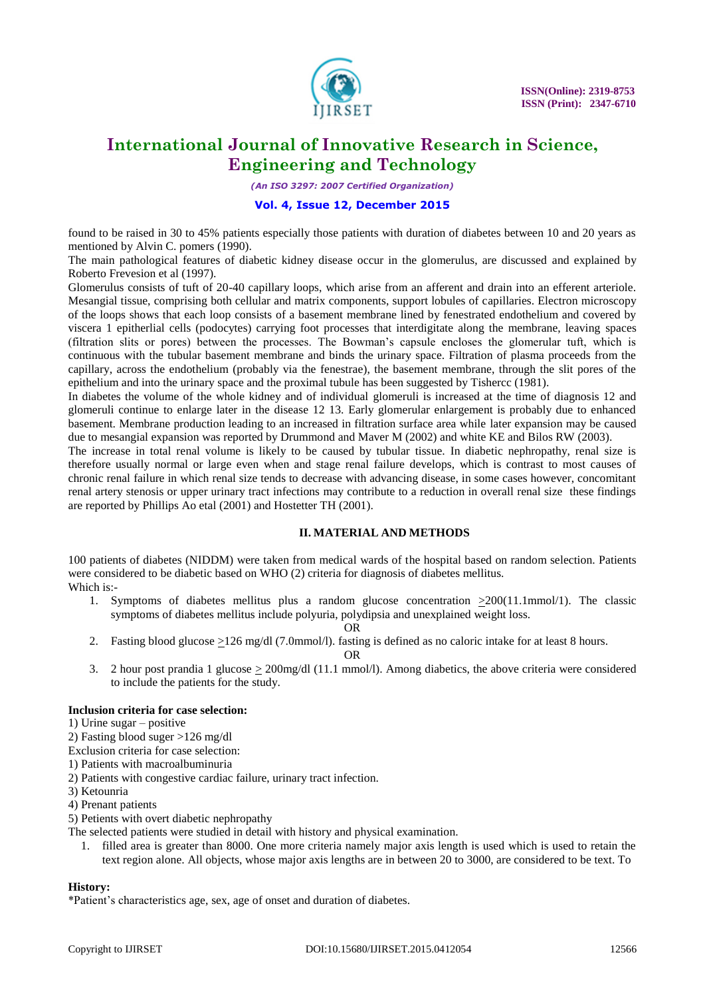

*(An ISO 3297: 2007 Certified Organization)*

### **Vol. 4, Issue 12, December 2015**

found to be raised in 30 to 45% patients especially those patients with duration of diabetes between 10 and 20 years as mentioned by Alvin C. pomers (1990).

The main pathological features of diabetic kidney disease occur in the glomerulus, are discussed and explained by Roberto Frevesion et al (1997).

Glomerulus consists of tuft of 20-40 capillary loops, which arise from an afferent and drain into an efferent arteriole. Mesangial tissue, comprising both cellular and matrix components, support lobules of capillaries. Electron microscopy of the loops shows that each loop consists of a basement membrane lined by fenestrated endothelium and covered by viscera 1 epitherlial cells (podocytes) carrying foot processes that interdigitate along the membrane, leaving spaces (filtration slits or pores) between the processes. The Bowman's capsule encloses the glomerular tuft, which is continuous with the tubular basement membrane and binds the urinary space. Filtration of plasma proceeds from the capillary, across the endothelium (probably via the fenestrae), the basement membrane, through the slit pores of the epithelium and into the urinary space and the proximal tubule has been suggested by Tishercc (1981).

In diabetes the volume of the whole kidney and of individual glomeruli is increased at the time of diagnosis 12 and glomeruli continue to enlarge later in the disease 12 13. Early glomerular enlargement is probably due to enhanced basement. Membrane production leading to an increased in filtration surface area while later expansion may be caused due to mesangial expansion was reported by Drummond and Maver M (2002) and white KE and Bilos RW (2003).

The increase in total renal volume is likely to be caused by tubular tissue. In diabetic nephropathy, renal size is therefore usually normal or large even when and stage renal failure develops, which is contrast to most causes of chronic renal failure in which renal size tends to decrease with advancing disease, in some cases however, concomitant renal artery stenosis or upper urinary tract infections may contribute to a reduction in overall renal size these findings are reported by Phillips Ao etal (2001) and Hostetter TH (2001).

### **II. MATERIAL AND METHODS**

100 patients of diabetes (NIDDM) were taken from medical wards of the hospital based on random selection. Patients were considered to be diabetic based on WHO (2) criteria for diagnosis of diabetes mellitus. Which is:-

1. Symptoms of diabetes mellitus plus a random glucose concentration >200(11.1mmol/1). The classic symptoms of diabetes mellitus include polyuria, polydipsia and unexplained weight loss.

OR

2. Fasting blood glucose  $\geq$ 126 mg/dl (7.0mmol/l). fasting is defined as no caloric intake for at least 8 hours.

OR

3. 2 hour post prandia 1 glucose  $\geq$  200mg/dl (11.1 mmol/l). Among diabetics, the above criteria were considered to include the patients for the study.

### **Inclusion criteria for case selection:**

- 1) Urine sugar positive
- 2) Fasting blood suger >126 mg/dl
- Exclusion criteria for case selection:
- 1) Patients with macroalbuminuria
- 2) Patients with congestive cardiac failure, urinary tract infection.
- 3) Ketounria
- 4) Prenant patients
- 5) Petients with overt diabetic nephropathy
- The selected patients were studied in detail with history and physical examination.
	- 1. filled area is greater than 8000. One more criteria namely major axis length is used which is used to retain the text region alone. All objects, whose major axis lengths are in between 20 to 3000, are considered to be text. To

#### **History:**

\*Patient's characteristics age, sex, age of onset and duration of diabetes.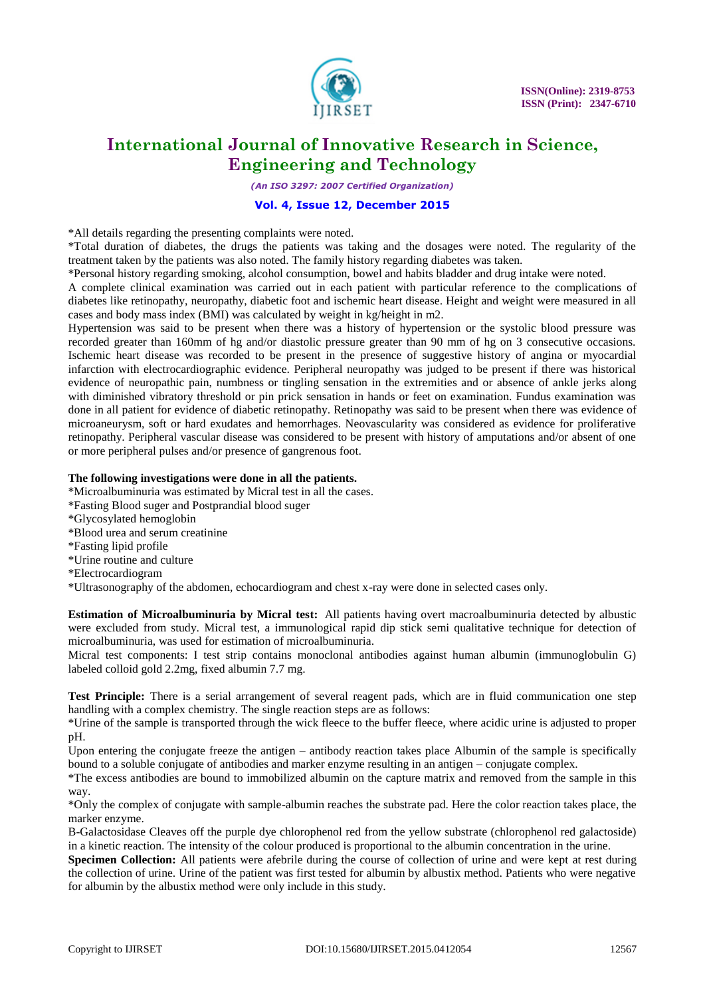

*(An ISO 3297: 2007 Certified Organization)*

### **Vol. 4, Issue 12, December 2015**

\*All details regarding the presenting complaints were noted.

\*Total duration of diabetes, the drugs the patients was taking and the dosages were noted. The regularity of the treatment taken by the patients was also noted. The family history regarding diabetes was taken.

\*Personal history regarding smoking, alcohol consumption, bowel and habits bladder and drug intake were noted.

A complete clinical examination was carried out in each patient with particular reference to the complications of diabetes like retinopathy, neuropathy, diabetic foot and ischemic heart disease. Height and weight were measured in all cases and body mass index (BMI) was calculated by weight in kg/height in m2.

Hypertension was said to be present when there was a history of hypertension or the systolic blood pressure was recorded greater than 160mm of hg and/or diastolic pressure greater than 90 mm of hg on 3 consecutive occasions. Ischemic heart disease was recorded to be present in the presence of suggestive history of angina or myocardial infarction with electrocardiographic evidence. Peripheral neuropathy was judged to be present if there was historical evidence of neuropathic pain, numbness or tingling sensation in the extremities and or absence of ankle jerks along with diminished vibratory threshold or pin prick sensation in hands or feet on examination. Fundus examination was done in all patient for evidence of diabetic retinopathy. Retinopathy was said to be present when there was evidence of microaneurysm, soft or hard exudates and hemorrhages. Neovascularity was considered as evidence for proliferative retinopathy. Peripheral vascular disease was considered to be present with history of amputations and/or absent of one or more peripheral pulses and/or presence of gangrenous foot.

### **The following investigations were done in all the patients.**

\*Microalbuminuria was estimated by Micral test in all the cases.

- \*Fasting Blood suger and Postprandial blood suger
- \*Glycosylated hemoglobin
- \*Blood urea and serum creatinine
- \*Fasting lipid profile
- \*Urine routine and culture
- \*Electrocardiogram

\*Ultrasonography of the abdomen, echocardiogram and chest x-ray were done in selected cases only.

**Estimation of Microalbuminuria by Micral test:** All patients having overt macroalbuminuria detected by albustic were excluded from study. Micral test, a immunological rapid dip stick semi qualitative technique for detection of microalbuminuria, was used for estimation of microalbuminuria.

Micral test components: I test strip contains monoclonal antibodies against human albumin (immunoglobulin G) labeled colloid gold 2.2mg, fixed albumin 7.7 mg.

**Test Principle:** There is a serial arrangement of several reagent pads, which are in fluid communication one step handling with a complex chemistry. The single reaction steps are as follows:

\*Urine of the sample is transported through the wick fleece to the buffer fleece, where acidic urine is adjusted to proper pH.

Upon entering the conjugate freeze the antigen – antibody reaction takes place Albumin of the sample is specifically bound to a soluble conjugate of antibodies and marker enzyme resulting in an antigen – conjugate complex.

\*The excess antibodies are bound to immobilized albumin on the capture matrix and removed from the sample in this way.

\*Only the complex of conjugate with sample-albumin reaches the substrate pad. Here the color reaction takes place, the marker enzyme.

B-Galactosidase Cleaves off the purple dye chlorophenol red from the yellow substrate (chlorophenol red galactoside) in a kinetic reaction. The intensity of the colour produced is proportional to the albumin concentration in the urine.

**Specimen Collection:** All patients were afebrile during the course of collection of urine and were kept at rest during the collection of urine. Urine of the patient was first tested for albumin by albustix method. Patients who were negative for albumin by the albustix method were only include in this study.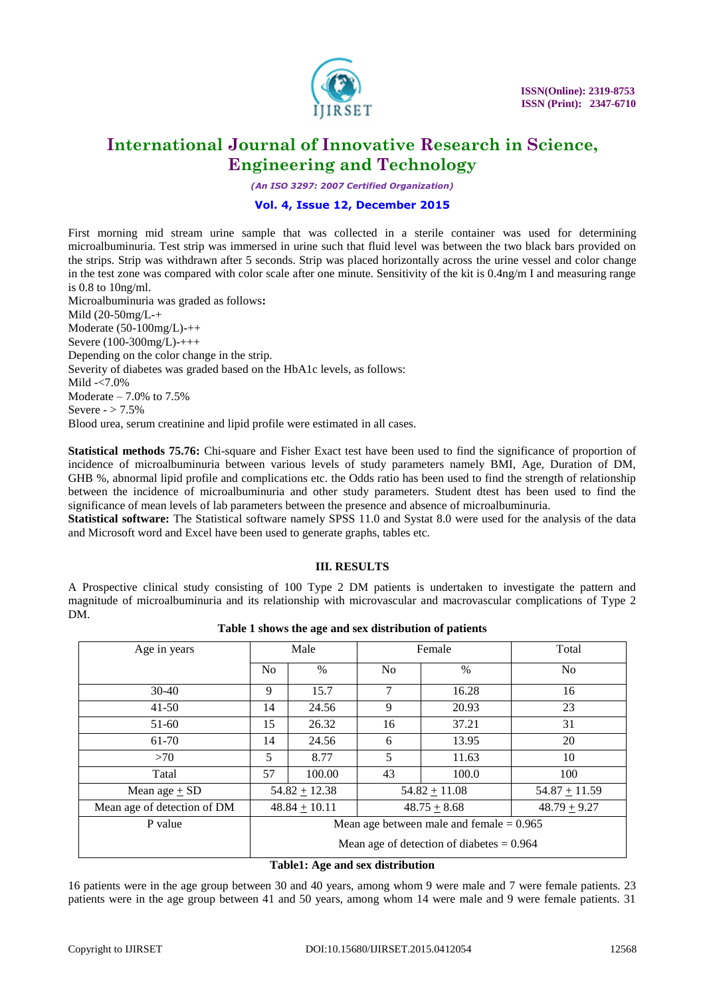

*(An ISO 3297: 2007 Certified Organization)*

### **Vol. 4, Issue 12, December 2015**

First morning mid stream urine sample that was collected in a sterile container was used for determining microalbuminuria. Test strip was immersed in urine such that fluid level was between the two black bars provided on the strips. Strip was withdrawn after 5 seconds. Strip was placed horizontally across the urine vessel and color change in the test zone was compared with color scale after one minute. Sensitivity of the kit is 0.4ng/m I and measuring range is 0.8 to 10ng/ml.

Microalbuminuria was graded as follows**:** Mild (20-50mg/L-+ Moderate (50-100mg/L)-++ Severe (100-300mg/L)-+++ Depending on the color change in the strip. Severity of diabetes was graded based on the HbA1c levels, as follows: Mild -<7.0% Moderate  $-7.0\%$  to  $7.5\%$ Severe  $-$  > 7.5% Blood urea, serum creatinine and lipid profile were estimated in all cases.

**Statistical methods 75.76:** Chi-square and Fisher Exact test have been used to find the significance of proportion of incidence of microalbuminuria between various levels of study parameters namely BMI, Age, Duration of DM, GHB %, abnormal lipid profile and complications etc. the Odds ratio has been used to find the strength of relationship between the incidence of microalbuminuria and other study parameters. Student dtest has been used to find the significance of mean levels of lab parameters between the presence and absence of microalbuminuria.

**Statistical software:** The Statistical software namely SPSS 11.0 and Systat 8.0 were used for the analysis of the data and Microsoft word and Excel have been used to generate graphs, tables etc.

### **III. RESULTS**

A Prospective clinical study consisting of 100 Type 2 DM patients is undertaken to investigate the pattern and magnitude of microalbuminuria and its relationship with microvascular and macrovascular complications of Type 2 DM.

| Age in years                | Male                                        |                 |                | Female          | Total           |  |
|-----------------------------|---------------------------------------------|-----------------|----------------|-----------------|-----------------|--|
|                             | N <sub>0</sub>                              | $\frac{0}{0}$   | N <sub>0</sub> | $\frac{0}{0}$   | N <sub>0</sub>  |  |
| $30-40$                     | 9                                           | 15.7            | 7              | 16.28           | 16              |  |
| $41 - 50$                   | 14                                          | 24.56           | 9              | 20.93           | 23              |  |
| $51-60$                     | 15                                          | 26.32           | 16             | 37.21           | 31              |  |
| 61-70                       | 14                                          | 24.56           | 6              | 13.95           | 20              |  |
| >70                         | 5                                           | 8.77            | 5              | 11.63           | 10              |  |
| Tatal                       | 57                                          | 100.00          | 43             | 100.0           | 100             |  |
| Mean age $\pm$ SD           |                                             | $54.82 + 12.38$ |                | $54.82 + 11.08$ | $54.87 + 11.59$ |  |
| Mean age of detection of DM |                                             | $48.84 + 10.11$ |                | $48.75 + 8.68$  | $48.79 + 9.27$  |  |
| P value                     | Mean age between male and female $= 0.965$  |                 |                |                 |                 |  |
|                             | Mean age of detection of diabetes $= 0.964$ |                 |                |                 |                 |  |

### **Table 1 shows the age and sex distribution of patients**

### **Table1: Age and sex distribution**

16 patients were in the age group between 30 and 40 years, among whom 9 were male and 7 were female patients. 23 patients were in the age group between 41 and 50 years, among whom 14 were male and 9 were female patients. 31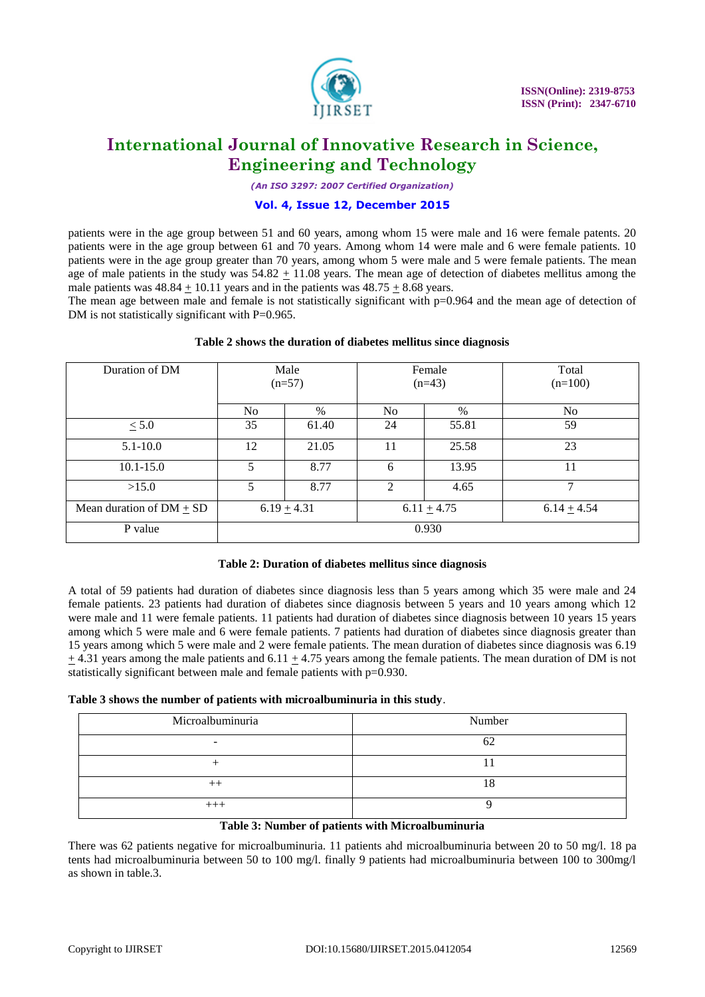

*(An ISO 3297: 2007 Certified Organization)*

### **Vol. 4, Issue 12, December 2015**

patients were in the age group between 51 and 60 years, among whom 15 were male and 16 were female patents. 20 patients were in the age group between 61 and 70 years. Among whom 14 were male and 6 were female patients. 10 patients were in the age group greater than 70 years, among whom 5 were male and 5 were female patients. The mean age of male patients in the study was  $54.82 \pm 11.08$  years. The mean age of detection of diabetes mellitus among the male patients was  $48.84 + 10.11$  years and in the patients was  $48.75 + 8.68$  years.

The mean age between male and female is not statistically significant with p=0.964 and the mean age of detection of DM is not statistically significant with P=0.965.

| Duration of DM               |                | Male     |                | Female   | Total           |  |  |  |
|------------------------------|----------------|----------|----------------|----------|-----------------|--|--|--|
|                              |                | $(n=57)$ |                | $(n=43)$ | $(n=100)$       |  |  |  |
|                              |                |          |                |          |                 |  |  |  |
|                              |                |          |                |          |                 |  |  |  |
|                              | N <sub>0</sub> | $\%$     | N <sub>0</sub> | %        | No.             |  |  |  |
| $\leq 5.0$                   | 35             | 61.40    | 24             | 55.81    | 59              |  |  |  |
|                              |                |          |                |          |                 |  |  |  |
| $5.1 - 10.0$                 | 12             | 21.05    | 11             | 25.58    | 23              |  |  |  |
|                              |                |          |                |          |                 |  |  |  |
| $10.1 - 15.0$                | 5              | 8.77     | 6              | 13.95    | 11              |  |  |  |
|                              |                |          |                |          |                 |  |  |  |
| >15.0                        | 5              | 8.77     | 2              | 4.65     | 7               |  |  |  |
|                              |                |          |                |          |                 |  |  |  |
| Mean duration of $DM \pm SD$ | $6.19 + 4.31$  |          | $6.11 + 4.75$  |          | $6.14 \pm 4.54$ |  |  |  |
|                              |                |          |                |          |                 |  |  |  |
| P value                      | 0.930          |          |                |          |                 |  |  |  |
|                              |                |          |                |          |                 |  |  |  |
|                              |                |          |                |          |                 |  |  |  |

### **Table 2 shows the duration of diabetes mellitus since diagnosis**

### **Table 2: Duration of diabetes mellitus since diagnosis**

A total of 59 patients had duration of diabetes since diagnosis less than 5 years among which 35 were male and 24 female patients. 23 patients had duration of diabetes since diagnosis between 5 years and 10 years among which 12 were male and 11 were female patients. 11 patients had duration of diabetes since diagnosis between 10 years 15 years among which 5 were male and 6 were female patients. 7 patients had duration of diabetes since diagnosis greater than 15 years among which 5 were male and 2 were female patients. The mean duration of diabetes since diagnosis was 6.19  $\pm$  4.31 years among the male patients and 6.11  $\pm$  4.75 years among the female patients. The mean duration of DM is not statistically significant between male and female patients with p=0.930.

### **Table 3 shows the number of patients with microalbuminuria in this study**.

| Microalbuminuria | Number |
|------------------|--------|
|                  |        |
|                  |        |
|                  |        |
| $+ + +$          |        |

### **Table 3: Number of patients with Microalbuminuria**

There was 62 patients negative for microalbuminuria. 11 patients ahd microalbuminuria between 20 to 50 mg/l. 18 pa tents had microalbuminuria between 50 to 100 mg/l. finally 9 patients had microalbuminuria between 100 to 300mg/l as shown in table.3.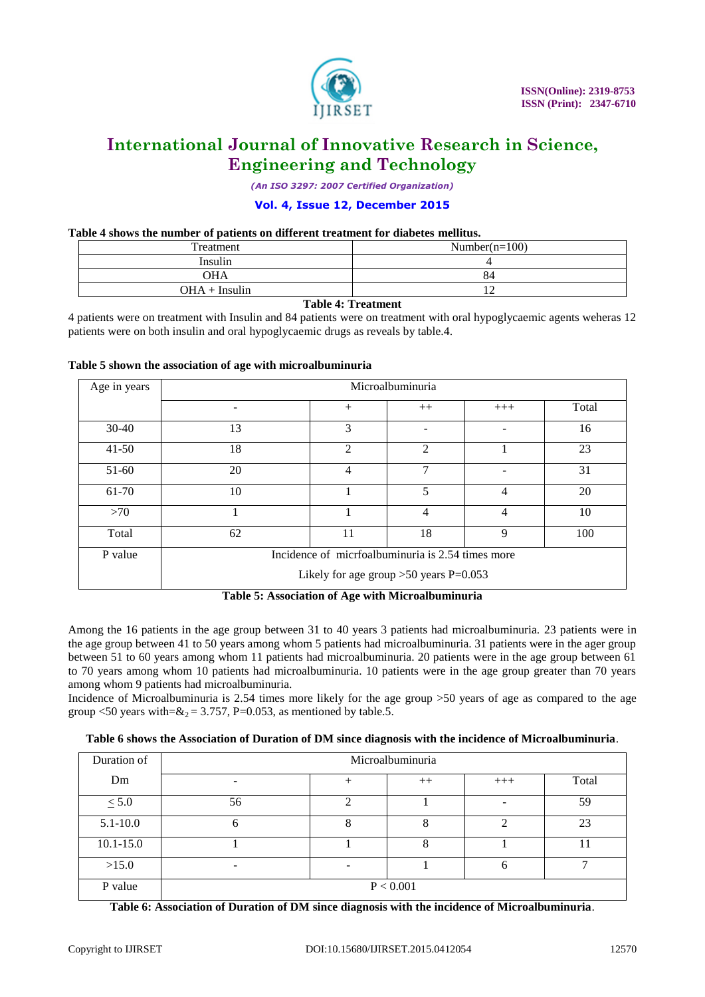

*(An ISO 3297: 2007 Certified Organization)*

### **Vol. 4, Issue 12, December 2015**

### **Table 4 shows the number of patients on different treatment for diabetes mellitus.**

| Treatment       | Number $(n=100)$ |
|-----------------|------------------|
| Insulin         |                  |
| <b>OHA</b>      | 84               |
| $OHA + Insulin$ | ∸                |

### **Table 4: Treatment**

4 patients were on treatment with Insulin and 84 patients were on treatment with oral hypoglycaemic agents weheras 12 patients were on both insulin and oral hypoglycaemic drugs as reveals by table.4.

### **Table 5 shown the association of age with microalbuminuria**

| Age in years |    | Microalbuminuria                                  |                |                |       |  |  |  |
|--------------|----|---------------------------------------------------|----------------|----------------|-------|--|--|--|
|              |    | $+$                                               | $++$           | $+++$          | Total |  |  |  |
| $30-40$      | 13 | 3                                                 | -              |                | 16    |  |  |  |
| $41 - 50$    | 18 | $\overline{2}$                                    | $\mathfrak{D}$ |                | 23    |  |  |  |
| $51-60$      | 20 | $\overline{4}$                                    | 7              |                | 31    |  |  |  |
| 61-70        | 10 |                                                   | 5              | 4              | 20    |  |  |  |
| >70          |    |                                                   | $\overline{4}$ | $\overline{4}$ | 10    |  |  |  |
| Total        | 62 | 11                                                | 18             | 9              | 100   |  |  |  |
| P value      |    | Incidence of micrfoalbuminuria is 2.54 times more |                |                |       |  |  |  |
|              |    | Likely for age group $>50$ years P=0.053          |                |                |       |  |  |  |

**Table 5: Association of Age with Microalbuminuria**

Among the 16 patients in the age group between 31 to 40 years 3 patients had microalbuminuria. 23 patients were in the age group between 41 to 50 years among whom 5 patients had microalbuminuria. 31 patients were in the ager group between 51 to 60 years among whom 11 patients had microalbuminuria. 20 patients were in the age group between 61 to 70 years among whom 10 patients had microalbuminuria. 10 patients were in the age group greater than 70 years among whom 9 patients had microalbuminuria.

Incidence of Microalbuminuria is 2.54 times more likely for the age group >50 years of age as compared to the age group <50 years with= $\δ_2 = 3.757$ , P=0.053, as mentioned by table.5.

### **Table 6 shows the Association of Duration of DM since diagnosis with the incidence of Microalbuminuria**.

| Duration of   | Microalbuminuria |  |      |       |       |  |
|---------------|------------------|--|------|-------|-------|--|
| Dm            | -                |  | $++$ | $+++$ | Total |  |
| $\leq 5.0$    | 56               |  |      |       | 59    |  |
| $5.1 - 10.0$  | O                |  |      | ◠     | 23    |  |
| $10.1 - 15.0$ |                  |  |      |       |       |  |
| >15.0         | ۰                |  |      | 6     |       |  |
| P value       | P < 0.001        |  |      |       |       |  |

**Table 6: Association of Duration of DM since diagnosis with the incidence of Microalbuminuria**.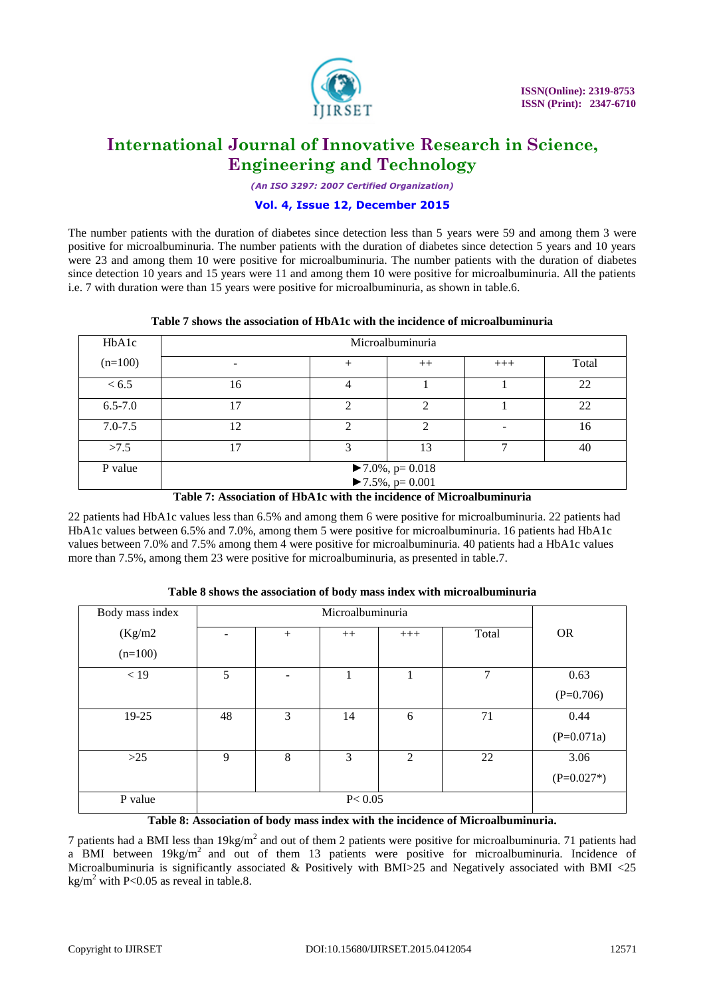

*(An ISO 3297: 2007 Certified Organization)*

### **Vol. 4, Issue 12, December 2015**

The number patients with the duration of diabetes since detection less than 5 years were 59 and among them 3 were positive for microalbuminuria. The number patients with the duration of diabetes since detection 5 years and 10 years were 23 and among them 10 were positive for microalbuminuria. The number patients with the duration of diabetes since detection 10 years and 15 years were 11 and among them 10 were positive for microalbuminuria. All the patients i.e. 7 with duration were than 15 years were positive for microalbuminuria, as shown in table.6.

### **Table 7 shows the association of HbA1c with the incidence of microalbuminuria**

| HbA1c       | Microalbuminuria                                                             |   |               |       |       |  |
|-------------|------------------------------------------------------------------------------|---|---------------|-------|-------|--|
| $(n=100)$   | -                                                                            |   | $++$          | $+++$ | Total |  |
| < 6.5       | 16                                                                           |   |               |       | 22    |  |
| $6.5 - 7.0$ | 17                                                                           | ◠ | ↑             |       | 22    |  |
| $7.0 - 7.5$ | 12                                                                           | ↑ | $\mathcal{D}$ |       | 16    |  |
| >7.5        | 17                                                                           | 3 | 13            |       | 40    |  |
| P value     | $\blacktriangleright$ 7.0%, p= 0.018<br>$\blacktriangleright$ 7.5%, p= 0.001 |   |               |       |       |  |

**Table 7: Association of HbA1c with the incidence of Microalbuminuria**

22 patients had HbA1c values less than 6.5% and among them 6 were positive for microalbuminuria. 22 patients had HbA1c values between 6.5% and 7.0%, among them 5 were positive for microalbuminuria. 16 patients had HbA1c values between 7.0% and 7.5% among them 4 were positive for microalbuminuria. 40 patients had a HbA1c values more than 7.5%, among them 23 were positive for microalbuminuria, as presented in table.7.

| Body mass index |    | Microalbuminuria  |      |       |       |              |  |
|-----------------|----|-------------------|------|-------|-------|--------------|--|
| (Kg/m2)         | -  | $+$               | $++$ | $+++$ | Total | <b>OR</b>    |  |
| $(n=100)$       |    |                   |      |       |       |              |  |
| $<19$           | 5  | $\qquad \qquad -$ |      |       | 7     | 0.63         |  |
|                 |    |                   |      |       |       | $(P=0.706)$  |  |
| 19-25           | 48 | 3                 | 14   | 6     | 71    | 0.44         |  |
|                 |    |                   |      |       |       | $(P=0.071a)$ |  |
| $>25$           | 9  | 8                 | 3    | 2     | 22    | 3.06         |  |
|                 |    |                   |      |       |       | $(P=0.027*)$ |  |
| P value         |    | P < 0.05          |      |       |       |              |  |

### **Table 8 shows the association of body mass index with microalbuminuria**

**Table 8: Association of body mass index with the incidence of Microalbuminuria.**

7 patients had a BMI less than  $19\text{kg/m}^2$  and out of them 2 patients were positive for microalbuminuria. 71 patients had a BMI between  $19kg/m^2$  and out of them 13 patients were positive for microalbuminuria. Incidence of Microalbuminuria is significantly associated & Positively with BMI>25 and Negatively associated with BMI <25 kg/m<sup>2</sup> with P<0.05 as reveal in table.8.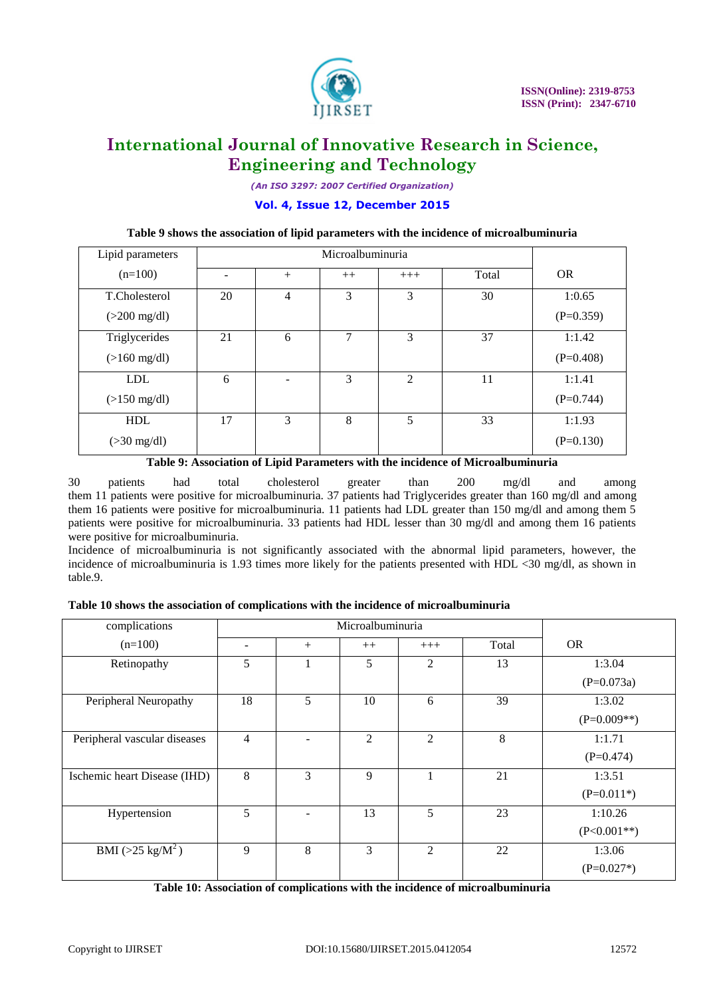

*(An ISO 3297: 2007 Certified Organization)*

### **Vol. 4, Issue 12, December 2015**

### **Table 9 shows the association of lipid parameters with the incidence of microalbuminuria**

| Lipid parameters       |    | Microalbuminuria  |      |                |       |             |
|------------------------|----|-------------------|------|----------------|-------|-------------|
| $(n=100)$              |    | $^{+}$            | $++$ | $+++$          | Total | <b>OR</b>   |
| T.Cholesterol          | 20 | 4                 | 3    | 3              | 30    | 1:0.65      |
| $(>200 \text{ mg/dl})$ |    |                   |      |                |       | $(P=0.359)$ |
| Triglycerides          | 21 | 6                 | 7    | 3              | 37    | 1:1.42      |
| $(>160 \text{ mg/dl})$ |    |                   |      |                |       | $(P=0.408)$ |
| <b>LDL</b>             | 6  | $\qquad \qquad -$ | 3    | $\overline{c}$ | 11    | 1:1.41      |
| $(>150 \text{ mg/dl})$ |    |                   |      |                |       | $(P=0.744)$ |
| <b>HDL</b>             | 17 | 3                 | 8    | 5              | 33    | 1:1.93      |
| $(>30 \text{ mg/dl})$  |    |                   |      |                |       | $(P=0.130)$ |

### **Table 9: Association of Lipid Parameters with the incidence of Microalbuminuria**

30 patients had total cholesterol greater than 200 mg/dl and among them 11 patients were positive for microalbuminuria. 37 patients had Triglycerides greater than 160 mg/dl and among them 16 patients were positive for microalbuminuria. 11 patients had LDL greater than 150 mg/dl and among them 5 patients were positive for microalbuminuria. 33 patients had HDL lesser than 30 mg/dl and among them 16 patients were positive for microalbuminuria.

Incidence of microalbuminuria is not significantly associated with the abnormal lipid parameters, however, the incidence of microalbuminuria is 1.93 times more likely for the patients presented with HDL <30 mg/dl, as shown in table.9.

| complications                |                | Microalbuminuria |                |                |       |               |
|------------------------------|----------------|------------------|----------------|----------------|-------|---------------|
| $(n=100)$                    | -              | $+$              | $++$           | $+++$          | Total | <b>OR</b>     |
| Retinopathy                  | 5              |                  | 5              | 2              | 13    | 1:3.04        |
|                              |                |                  |                |                |       | $(P=0.073a)$  |
| Peripheral Neuropathy        | 18             | 5                | 10             | 6              | 39    | 1:3.02        |
|                              |                |                  |                |                |       | $(P=0.009**)$ |
| Peripheral vascular diseases | $\overline{4}$ |                  | $\overline{c}$ | $\mathfrak{D}$ | 8     | 1:1.71        |
|                              |                |                  |                |                |       | $(P=0.474)$   |
| Ischemic heart Disease (IHD) | 8              | 3                | 9              | п              | 21    | 1:3.51        |
|                              |                |                  |                |                |       | $(P=0.011*)$  |
| Hypertension                 | 5              |                  | 13             | 5              | 23    | 1:10.26       |
|                              |                |                  |                |                |       | $(P<0.001**)$ |
| BMI ( $>25 \text{ kg/M}^2$ ) | 9              | 8                | 3              | 2              | 22    | 1:3.06        |
|                              |                |                  |                |                |       | $(P=0.027*)$  |

**Table 10: Association of complications with the incidence of microalbuminuria**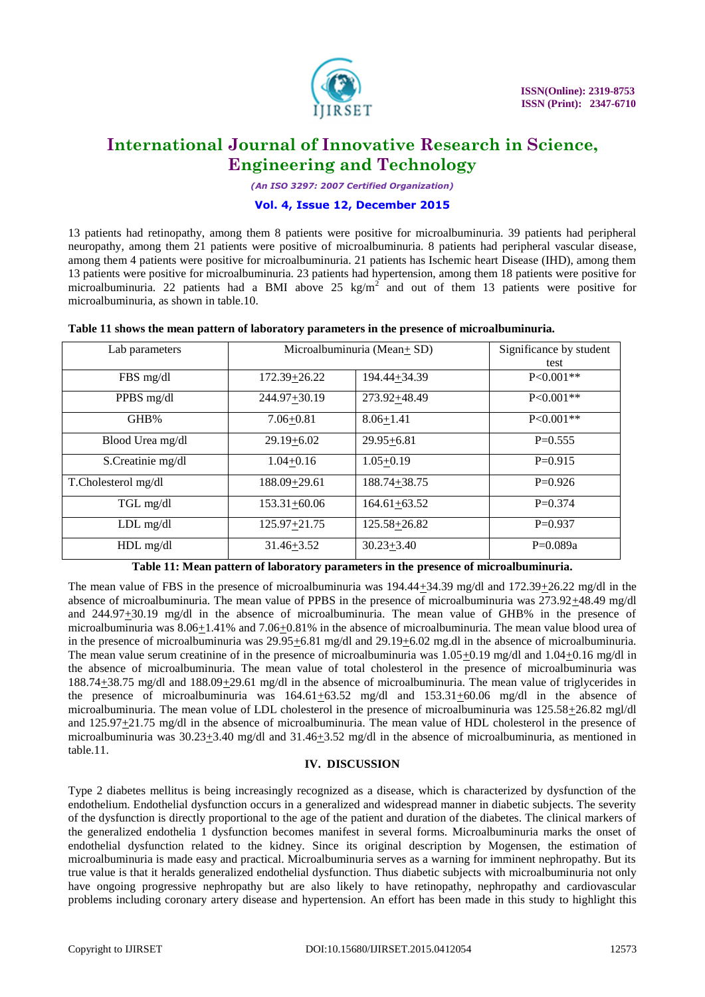

*(An ISO 3297: 2007 Certified Organization)*

### **Vol. 4, Issue 12, December 2015**

13 patients had retinopathy, among them 8 patients were positive for microalbuminuria. 39 patients had peripheral neuropathy, among them 21 patients were positive of microalbuminuria. 8 patients had peripheral vascular disease, among them 4 patients were positive for microalbuminuria. 21 patients has Ischemic heart Disease (IHD), among them 13 patients were positive for microalbuminuria. 23 patients had hypertension, among them 18 patients were positive for microalbuminuria. 22 patients had a BMI above  $25 \text{ kg/m}^2$  and out of them 13 patients were positive for microalbuminuria, as shown in table.10.

| Lab parameters      | Microalbuminuria (Mean+SD) | Significance by student |               |
|---------------------|----------------------------|-------------------------|---------------|
|                     |                            |                         | test          |
| FBS mg/dl           | 172.39+26.22               | 194.44+34.39            | $P < 0.001**$ |
| PPBS mg/dl          | 244.97+30.19               | 273.92+48.49            | $P < 0.001**$ |
| GHB%                | $7.06 + 0.81$              | $8.06 + 1.41$           | $P < 0.001**$ |
| Blood Urea mg/dl    | $29.19 + 6.02$             | $29.95 + 6.81$          | $P=0.555$     |
| S.Creatinie mg/dl   | $1.04 + 0.16$              | $1.05 + 0.19$           | $P=0.915$     |
| T.Cholesterol mg/dl | 188.09+29.61               | 188.74+38.75            | $P=0.926$     |
| TGL mg/dl           | 153.31+60.06               | $164.61 + 63.52$        | $P=0.374$     |
| $LDL$ mg/dl         | 125.97+21.75               | 125.58+26.82            | $P=0.937$     |
| $HDL$ mg/dl         | $31.46 + 3.52$             | $30.23 + 3.40$          | $P=0.089a$    |

### **Table 11 shows the mean pattern of laboratory parameters in the presence of microalbuminuria.**

#### **Table 11: Mean pattern of laboratory parameters in the presence of microalbuminuria.**

The mean value of FBS in the presence of microalbuminuria was 194.44+34.39 mg/dl and 172.39+26.22 mg/dl in the absence of microalbuminuria. The mean value of PPBS in the presence of microalbuminuria was 273.92 $\pm$ 48.49 mg/dl and 244.97+30.19 mg/dl in the absence of microalbuminuria. The mean value of GHB% in the presence of microalbuminuria was  $8.06\pm1.41\%$  and  $7.06\pm0.81\%$  in the absence of microalbuminuria. The mean value blood urea of in the presence of microalbuminuria was 29.95+6.81 mg/dl and 29.19+6.02 mg.dl in the absence of microalbuminuria. The mean value serum creatinine of in the presence of microalbuminuria was  $1.05+0.19$  mg/dl and  $1.04+0.16$  mg/dl in the absence of microalbuminuria. The mean value of total cholesterol in the presence of microalbuminuria was 188.74+38.75 mg/dl and 188.09+29.61 mg/dl in the absence of microalbuminuria. The mean value of triglycerides in the presence of microalbuminuria was 164.61+63.52 mg/dl and 153.31+60.06 mg/dl in the absence of microalbuminuria. The mean volue of LDL cholesterol in the presence of microalbuminuria was 125.58+26.82 mgl/dl and 125.97+21.75 mg/dl in the absence of microalbuminuria. The mean value of HDL cholesterol in the presence of microalbuminuria was 30.23+3.40 mg/dl and 31.46+3.52 mg/dl in the absence of microalbuminuria, as mentioned in table.11.

### **IV. DISCUSSION**

Type 2 diabetes mellitus is being increasingly recognized as a disease, which is characterized by dysfunction of the endothelium. Endothelial dysfunction occurs in a generalized and widespread manner in diabetic subjects. The severity of the dysfunction is directly proportional to the age of the patient and duration of the diabetes. The clinical markers of the generalized endothelia 1 dysfunction becomes manifest in several forms. Microalbuminuria marks the onset of endothelial dysfunction related to the kidney. Since its original description by Mogensen, the estimation of microalbuminuria is made easy and practical. Microalbuminuria serves as a warning for imminent nephropathy. But its true value is that it heralds generalized endothelial dysfunction. Thus diabetic subjects with microalbuminuria not only have ongoing progressive nephropathy but are also likely to have retinopathy, nephropathy and cardiovascular problems including coronary artery disease and hypertension. An effort has been made in this study to highlight this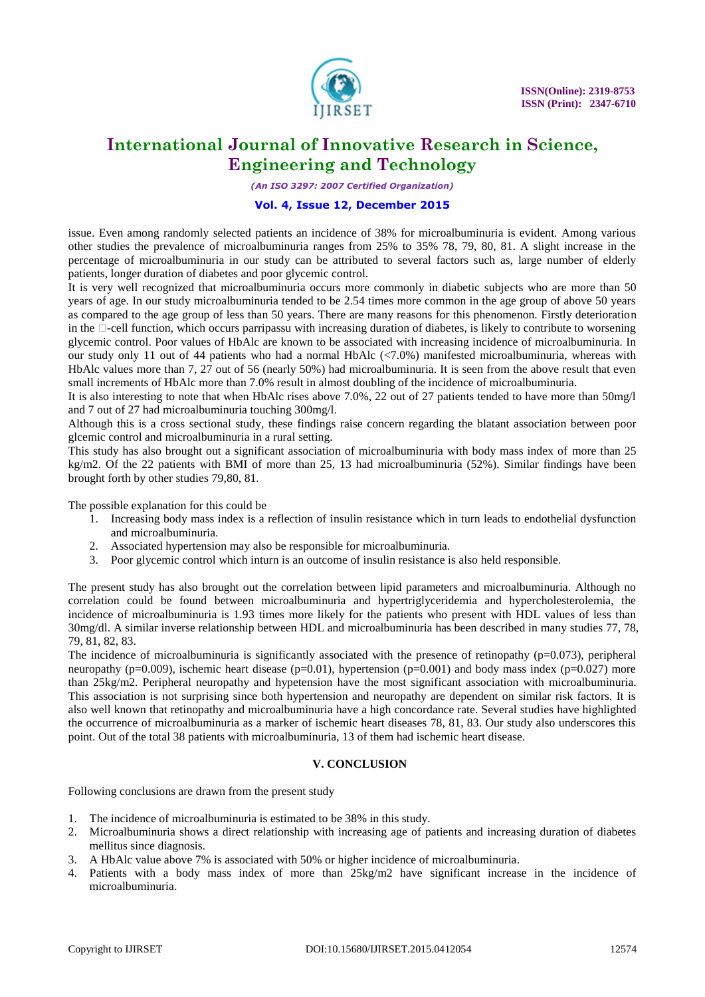

*(An ISO 3297: 2007 Certified Organization)*

### **Vol. 4, Issue 12, December 2015**

issue. Even among randomly selected patients an incidence of 38% for microalbuminuria is evident. Among various other studies the prevalence of microalbuminuria ranges from 25% to 35% 78, 79, 80, 81. A slight increase in the percentage of microalbuminuria in our study can be attributed to several factors such as, large number of elderly patients, longer duration of diabetes and poor glycemic control.

It is very well recognized that microalbuminuria occurs more commonly in diabetic subjects who are more than 50 years of age. In our study microalbuminuria tended to be 2.54 times more common in the age group of above 50 years as compared to the age group of less than 50 years. There are many reasons for this phenomenon. Firstly deterioration in the  $\Box$ -cell function, which occurs parripassu with increasing duration of diabetes, is likely to contribute to worsening glycemic control. Poor values of HbAlc are known to be associated with increasing incidence of microalbuminuria. In our study only 11 out of 44 patients who had a normal HbAlc (<7.0%) manifested microalbuminuria, whereas with HbAlc values more than 7, 27 out of 56 (nearly 50%) had microalbuminuria. It is seen from the above result that even small increments of HbAlc more than 7.0% result in almost doubling of the incidence of microalbuminuria.

It is also interesting to note that when HbAlc rises above 7.0%, 22 out of 27 patients tended to have more than 50mg/l and 7 out of 27 had microalbuminuria touching 300mg/l.

Although this is a cross sectional study, these findings raise concern regarding the blatant association between poor glcemic control and microalbuminuria in a rural setting.

This study has also brought out a significant association of microalbuminuria with body mass index of more than 25 kg/m2. Of the 22 patients with BMI of more than 25, 13 had microalbuminuria (52%). Similar findings have been brought forth by other studies 79,80, 81.

The possible explanation for this could be

- 1. Increasing body mass index is a reflection of insulin resistance which in turn leads to endothelial dysfunction and microalbuminuria.
- 2. Associated hypertension may also be responsible for microalbuminuria.
- 3. Poor glycemic control which inturn is an outcome of insulin resistance is also held responsible.

The present study has also brought out the correlation between lipid parameters and microalbuminuria. Although no correlation could be found between microalbuminuria and hypertriglyceridemia and hypercholesterolemia, the incidence of microalbuminuria is 1.93 times more likely for the patients who present with HDL values of less than 30mg/dl. A similar inverse relationship between HDL and microalbuminuria has been described in many studies 77, 78, 79, 81, 82, 83.

The incidence of microalbuminuria is significantly associated with the presence of retinopathy ( $p=0.073$ ), peripheral neuropathy ( $p=0.009$ ), ischemic heart disease ( $p=0.01$ ), hypertension ( $p=0.001$ ) and body mass index ( $p=0.027$ ) more than 25kg/m2. Peripheral neuropathy and hypetension have the most significant association with microalbuminuria. This association is not surprising since both hypertension and neuropathy are dependent on similar risk factors. It is also well known that retinopathy and microalbuminuria have a high concordance rate. Several studies have highlighted the occurrence of microalbuminuria as a marker of ischemic heart diseases 78, 81, 83. Our study also underscores this point. Out of the total 38 patients with microalbuminuria, 13 of them had ischemic heart disease.

### **V. CONCLUSION**

Following conclusions are drawn from the present study

- 1. The incidence of microalbuminuria is estimated to be 38% in this study.
- 2. Microalbuminuria shows a direct relationship with increasing age of patients and increasing duration of diabetes mellitus since diagnosis.
- 3. A HbAlc value above 7% is associated with 50% or higher incidence of microalbuminuria.
- 4. Patients with a body mass index of more than 25kg/m2 have significant increase in the incidence of microalbuminuria.